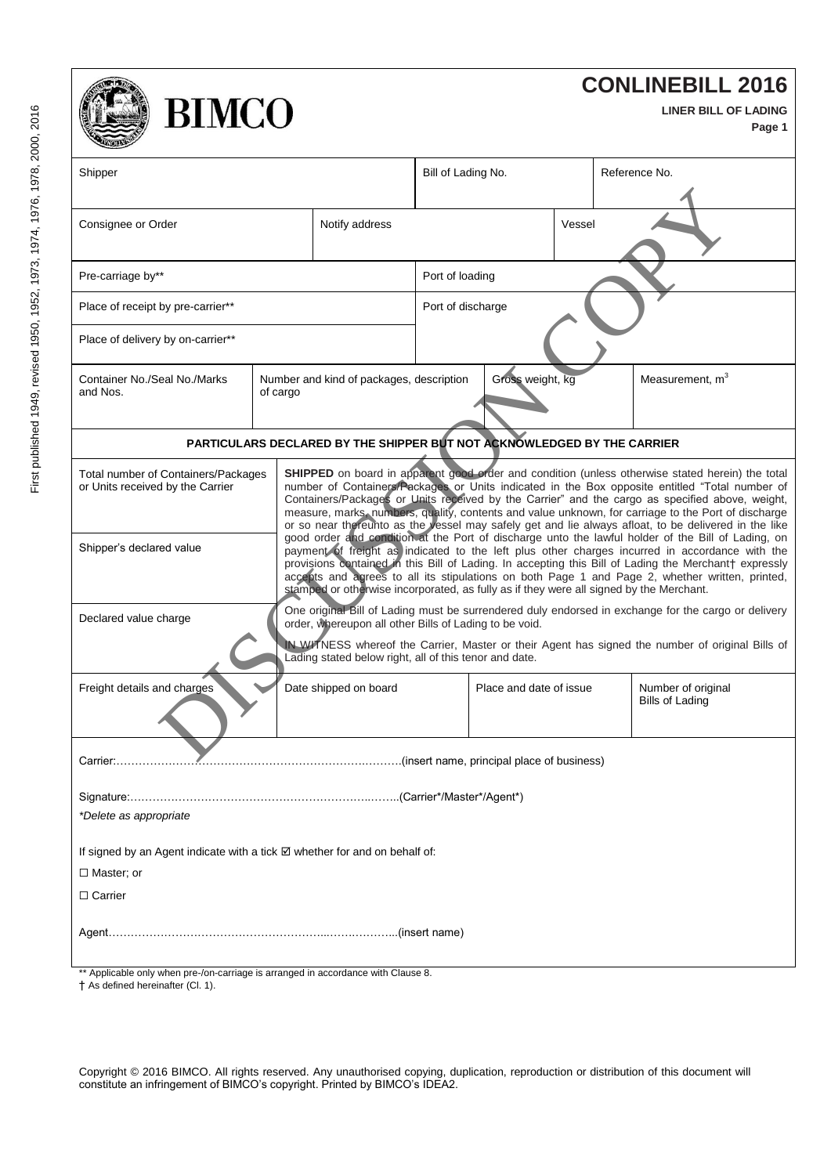| <b>CONLINEBILL 2016</b><br><b>BIMCO</b><br>LINER BILL OF LADING<br>Page 1                                                                                                                                                                                                                                                                            |          |                                          |                                                                                                                                                                                                                                                                                                                                                                                                                                                                                                                                                                                                                            |                         |        |                                              |
|------------------------------------------------------------------------------------------------------------------------------------------------------------------------------------------------------------------------------------------------------------------------------------------------------------------------------------------------------|----------|------------------------------------------|----------------------------------------------------------------------------------------------------------------------------------------------------------------------------------------------------------------------------------------------------------------------------------------------------------------------------------------------------------------------------------------------------------------------------------------------------------------------------------------------------------------------------------------------------------------------------------------------------------------------------|-------------------------|--------|----------------------------------------------|
| Shipper                                                                                                                                                                                                                                                                                                                                              |          |                                          | Bill of Lading No.                                                                                                                                                                                                                                                                                                                                                                                                                                                                                                                                                                                                         |                         |        | Reference No.                                |
| Consignee or Order                                                                                                                                                                                                                                                                                                                                   |          | Notify address                           |                                                                                                                                                                                                                                                                                                                                                                                                                                                                                                                                                                                                                            |                         | Vessel |                                              |
| Pre-carriage by**                                                                                                                                                                                                                                                                                                                                    |          | Port of loading                          |                                                                                                                                                                                                                                                                                                                                                                                                                                                                                                                                                                                                                            |                         |        |                                              |
| Place of receipt by pre-carrier**                                                                                                                                                                                                                                                                                                                    |          | Port of discharge                        |                                                                                                                                                                                                                                                                                                                                                                                                                                                                                                                                                                                                                            |                         |        |                                              |
| Place of delivery by on-carrier**                                                                                                                                                                                                                                                                                                                    |          |                                          |                                                                                                                                                                                                                                                                                                                                                                                                                                                                                                                                                                                                                            |                         |        |                                              |
| Container No./Seal No./Marks<br>and Nos.                                                                                                                                                                                                                                                                                                             | of cargo | Number and kind of packages, description | Measurement, m <sup>3</sup>                                                                                                                                                                                                                                                                                                                                                                                                                                                                                                                                                                                                |                         |        |                                              |
| PARTICULARS DECLARED BY THE SHIPPER BUT NOT ACKNOWLEDGED BY THE CARRIER                                                                                                                                                                                                                                                                              |          |                                          |                                                                                                                                                                                                                                                                                                                                                                                                                                                                                                                                                                                                                            |                         |        |                                              |
| Total number of Containers/Packages<br>or Units received by the Carrier                                                                                                                                                                                                                                                                              |          |                                          | SHIPPED on board in apparent good order and condition (unless otherwise stated herein) the total<br>number of Containers/Packages or Units indicated in the Box opposite entitled "Total number of<br>Containers/Packages or Units received by the Carrier" and the cargo as specified above, weight,<br>measure, marks, numbers, quality, contents and value unknown, for carriage to the Port of discharge<br>or so near thereunto as the vessel may safely get and lie always afloat, to be delivered in the like<br>good order and condition at the Port of discharge unto the lawful holder of the Bill of Lading, on |                         |        |                                              |
| Shipper's declared value                                                                                                                                                                                                                                                                                                                             |          |                                          | payment of freight as indicated to the left plus other charges incurred in accordance with the<br>provisions contained in this Bill of Lading. In accepting this Bill of Lading the Merchant† expressly<br>accepts and agrees to all its stipulations on both Page 1 and Page 2, whether written, printed,<br>stamped or otherwise incorporated, as fully as if they were all signed by the Merchant.                                                                                                                                                                                                                      |                         |        |                                              |
| One original Bill of Lading must be surrendered duly endorsed in exchange for the cargo or delivery<br>Declared value charge<br>order, whereupon all other Bills of Lading to be void.<br>IN WITNESS whereof the Carrier, Master or their Agent has signed the number of original Bills of<br>Lading stated below right, all of this tenor and date. |          |                                          |                                                                                                                                                                                                                                                                                                                                                                                                                                                                                                                                                                                                                            |                         |        |                                              |
| Freight details and charges<br>Date shipped on board                                                                                                                                                                                                                                                                                                 |          |                                          |                                                                                                                                                                                                                                                                                                                                                                                                                                                                                                                                                                                                                            | Place and date of issue |        | Number of original<br><b>Bills of Lading</b> |
|                                                                                                                                                                                                                                                                                                                                                      |          |                                          |                                                                                                                                                                                                                                                                                                                                                                                                                                                                                                                                                                                                                            |                         |        |                                              |
|                                                                                                                                                                                                                                                                                                                                                      |          |                                          |                                                                                                                                                                                                                                                                                                                                                                                                                                                                                                                                                                                                                            |                         |        |                                              |
| *Delete as appropriate                                                                                                                                                                                                                                                                                                                               |          |                                          |                                                                                                                                                                                                                                                                                                                                                                                                                                                                                                                                                                                                                            |                         |        |                                              |
| If signed by an Agent indicate with a tick $\boxtimes$ whether for and on behalf of:                                                                                                                                                                                                                                                                 |          |                                          |                                                                                                                                                                                                                                                                                                                                                                                                                                                                                                                                                                                                                            |                         |        |                                              |
| $\Box$ Master; or                                                                                                                                                                                                                                                                                                                                    |          |                                          |                                                                                                                                                                                                                                                                                                                                                                                                                                                                                                                                                                                                                            |                         |        |                                              |
| $\Box$ Carrier                                                                                                                                                                                                                                                                                                                                       |          |                                          |                                                                                                                                                                                                                                                                                                                                                                                                                                                                                                                                                                                                                            |                         |        |                                              |
|                                                                                                                                                                                                                                                                                                                                                      |          |                                          |                                                                                                                                                                                                                                                                                                                                                                                                                                                                                                                                                                                                                            |                         |        |                                              |
| ** Applicable only when pre-/on-carriage is arranged in accordance with Clause 8.                                                                                                                                                                                                                                                                    |          |                                          |                                                                                                                                                                                                                                                                                                                                                                                                                                                                                                                                                                                                                            |                         |        |                                              |

\*\* Applicable only when pre-/on-<br>† As defined hereinafter (Cl. 1).

Copyright © 2016 BIMCO. All rights reserved. Any unauthorised copying, duplication, reproduction or distribution of this document will constitute an infringement of BIMCO's copyright. Printed by BIMCO's IDEA2.